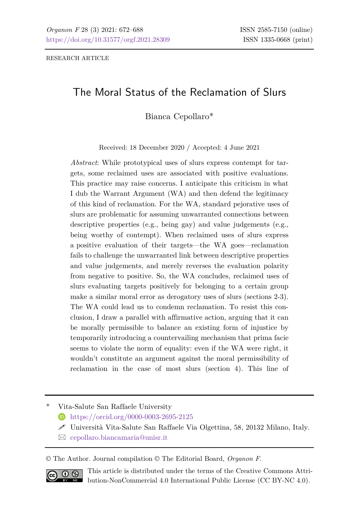# The Moral Status of the Reclamation of Slurs

Bianca Cepollaro\*

Received: 18 December 2020 / Accepted: 4 June 2021

*Abstract*: While prototypical uses of slurs express contempt for targets, some reclaimed uses are associated with positive evaluations. This practice may raise concerns. I anticipate this criticism in what I dub the Warrant Argument (WA) and then defend the legitimacy of this kind of reclamation. For the WA, standard pejorative uses of slurs are problematic for assuming unwarranted connections between descriptive properties (e.g., being gay) and value judgements (e.g., being worthy of contempt). When reclaimed uses of slurs express a positive evaluation of their targets—the WA goes—reclamation fails to challenge the unwarranted link between descriptive properties and value judgements, and merely reverses the evaluation polarity from negative to positive. So, the WA concludes, reclaimed uses of slurs evaluating targets positively for belonging to a certain group make a similar moral error as derogatory uses of slurs (sections 2-3). The WA could lead us to condemn reclamation. To resist this conclusion, I draw a parallel with affirmative action, arguing that it can be morally permissible to balance an existing form of injustice by temporarily introducing a countervailing mechanism that prima facie seems to violate the norm of equality: even if the WA were right, it wouldn't constitute an argument against the moral permissibility of reclamation in the case of most slurs (section 4). This line of

\* Vita-Salute San Raffaele University

- <https://orcid.org/0000-0003-2695-2125>
- Università Vita-Salute San Raffaele Via Olgettina, 58, 20132 Milano, Italy.
- $\boxtimes$  [cepollaro.biancamaria@unisr.it](mailto:cepollaro.biancamaria@unisr.it)

© The Author. Journal compilation © The Editorial Board, *Organon F*.



This article is distributed under the terms of the Creative Commons Attribution-NonCommercial 4.0 International Public License (CC BY-NC 4.0).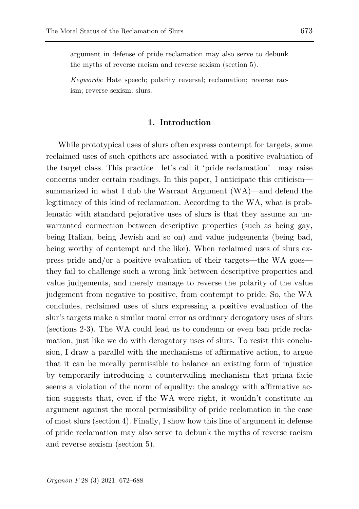argument in defense of pride reclamation may also serve to debunk the myths of reverse racism and reverse sexism (section 5).

*Keywords*: Hate speech; polarity reversal; reclamation; reverse racism; reverse sexism; slurs.

### **1. Introduction**

While prototypical uses of slurs often express contempt for targets, some reclaimed uses of such epithets are associated with a positive evaluation of the target class. This practice—let's call it 'pride reclamation'—may raise concerns under certain readings. In this paper, I anticipate this criticism summarized in what I dub the Warrant Argument (WA)—and defend the legitimacy of this kind of reclamation. According to the WA, what is problematic with standard pejorative uses of slurs is that they assume an unwarranted connection between descriptive properties (such as being gay, being Italian, being Jewish and so on) and value judgements (being bad, being worthy of contempt and the like). When reclaimed uses of slurs express pride and/or a positive evaluation of their targets—the WA goes they fail to challenge such a wrong link between descriptive properties and value judgements, and merely manage to reverse the polarity of the value judgement from negative to positive, from contempt to pride. So, the WA concludes, reclaimed uses of slurs expressing a positive evaluation of the slur's targets make a similar moral error as ordinary derogatory uses of slurs (sections 2-3). The WA could lead us to condemn or even ban pride reclamation, just like we do with derogatory uses of slurs. To resist this conclusion, I draw a parallel with the mechanisms of affirmative action, to argue that it can be morally permissible to balance an existing form of injustice by temporarily introducing a countervailing mechanism that prima facie seems a violation of the norm of equality: the analogy with affirmative action suggests that, even if the WA were right, it wouldn't constitute an argument against the moral permissibility of pride reclamation in the case of most slurs (section 4). Finally, I show how this line of argument in defense of pride reclamation may also serve to debunk the myths of reverse racism and reverse sexism (section 5).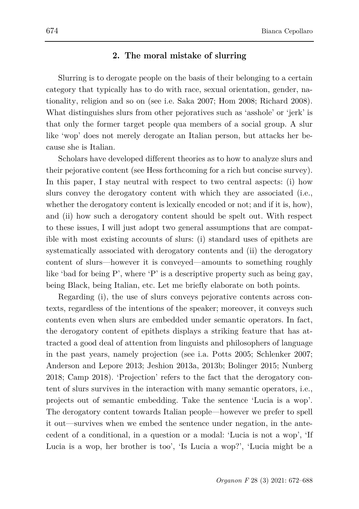### **2. The moral mistake of slurring**

Slurring is to derogate people on the basis of their belonging to a certain category that typically has to do with race, sexual orientation, gender, nationality, religion and so on (see i.e. Saka 2007; Hom 2008; Richard 2008). What distinguishes slurs from other pejoratives such as 'asshole' or 'jerk' is that only the former target people qua members of a social group. A slur like 'wop' does not merely derogate an Italian person, but attacks her because she is Italian.

Scholars have developed different theories as to how to analyze slurs and their pejorative content (see Hess forthcoming for a rich but concise survey). In this paper, I stay neutral with respect to two central aspects: (i) how slurs convey the derogatory content with which they are associated (i.e., whether the derogatory content is lexically encoded or not; and if it is, how). and (ii) how such a derogatory content should be spelt out. With respect to these issues, I will just adopt two general assumptions that are compatible with most existing accounts of slurs: (i) standard uses of epithets are systematically associated with derogatory contents and (ii) the derogatory content of slurs—however it is conveyed—amounts to something roughly like 'bad for being  $P'$ , where 'P' is a descriptive property such as being gay, being Black, being Italian, etc. Let me briefly elaborate on both points.

Regarding (i), the use of slurs conveys pejorative contents across contexts, regardless of the intentions of the speaker; moreover, it conveys such contents even when slurs are embedded under semantic operators. In fact, the derogatory content of epithets displays a striking feature that has attracted a good deal of attention from linguists and philosophers of language in the past years, namely projection (see i.a. Potts 2005; Schlenker 2007; Anderson and Lepore 2013; Jeshion 2013a, 2013b; Bolinger 2015; Nunberg 2018; Camp 2018). 'Projection' refers to the fact that the derogatory content of slurs survives in the interaction with many semantic operators, i.e., projects out of semantic embedding. Take the sentence 'Lucia is a wop'. The derogatory content towards Italian people—however we prefer to spell it out—survives when we embed the sentence under negation, in the antecedent of a conditional, in a question or a modal: 'Lucia is not a wop', 'If Lucia is a wop, her brother is too', 'Is Lucia a wop?', 'Lucia might be a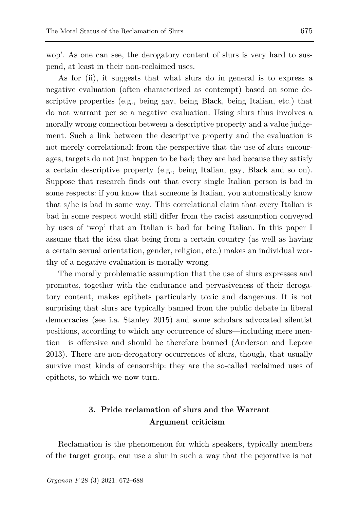wop'. As one can see, the derogatory content of slurs is very hard to suspend, at least in their non-reclaimed uses.

As for (ii), it suggests that what slurs do in general is to express a negative evaluation (often characterized as contempt) based on some descriptive properties (e.g., being gay, being Black, being Italian, etc.) that do not warrant per se a negative evaluation. Using slurs thus involves a morally wrong connection between a descriptive property and a value judgement. Such a link between the descriptive property and the evaluation is not merely correlational: from the perspective that the use of slurs encourages, targets do not just happen to be bad; they are bad because they satisfy a certain descriptive property (e.g., being Italian, gay, Black and so on). Suppose that research finds out that every single Italian person is bad in some respects: if you know that someone is Italian, you automatically know that s/he is bad in some way. This correlational claim that every Italian is bad in some respect would still differ from the racist assumption conveyed by uses of 'wop' that an Italian is bad for being Italian. In this paper I assume that the idea that being from a certain country (as well as having a certain sexual orientation, gender, religion, etc.) makes an individual worthy of a negative evaluation is morally wrong.

The morally problematic assumption that the use of slurs expresses and promotes, together with the endurance and pervasiveness of their derogatory content, makes epithets particularly toxic and dangerous. It is not surprising that slurs are typically banned from the public debate in liberal democracies (see i.a. Stanley 2015) and some scholars advocated silentist positions, according to which any occurrence of slurs—including mere mention—is offensive and should be therefore banned (Anderson and Lepore 2013). There are non-derogatory occurrences of slurs, though, that usually survive most kinds of censorship: they are the so-called reclaimed uses of epithets, to which we now turn.

## **3. Pride reclamation of slurs and the Warrant Argument criticism**

Reclamation is the phenomenon for which speakers, typically members of the target group, can use a slur in such a way that the pejorative is not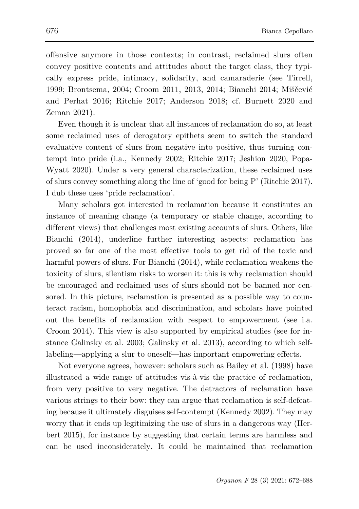offensive anymore in those contexts; in contrast, reclaimed slurs often convey positive contents and attitudes about the target class, they typically express pride, intimacy, solidarity, and camaraderie (see Tirrell, 1999; Brontsema, 2004; Croom 2011, 2013, 2014; Bianchi 2014; Miščević and Perhat 2016; Ritchie 2017; Anderson 2018; cf. Burnett 2020 and Zeman 2021).

Even though it is unclear that all instances of reclamation do so, at least some reclaimed uses of derogatory epithets seem to switch the standard evaluative content of slurs from negative into positive, thus turning contempt into pride (i.a., Kennedy 2002; Ritchie 2017; Jeshion 2020, Popa-Wyatt 2020). Under a very general characterization, these reclaimed uses of slurs convey something along the line of 'good for being P' (Ritchie 2017). I dub these uses 'pride reclamation'.

Many scholars got interested in reclamation because it constitutes an instance of meaning change (a temporary or stable change, according to different views) that challenges most existing accounts of slurs. Others, like Bianchi (2014), underline further interesting aspects: reclamation has proved so far one of the most effective tools to get rid of the toxic and harmful powers of slurs. For Bianchi (2014), while reclamation weakens the toxicity of slurs, silentism risks to worsen it: this is why reclamation should be encouraged and reclaimed uses of slurs should not be banned nor censored. In this picture, reclamation is presented as a possible way to counteract racism, homophobia and discrimination, and scholars have pointed out the benefits of reclamation with respect to empowerment (see i.a. Croom 2014). This view is also supported by empirical studies (see for instance Galinsky et al. 2003; Galinsky et al. 2013), according to which selflabeling—applying a slur to oneself—has important empowering effects.

Not everyone agrees, however: scholars such as Bailey et al. (1998) have illustrated a wide range of attitudes vis-à-vis the practice of reclamation, from very positive to very negative. The detractors of reclamation have various strings to their bow: they can argue that reclamation is self-defeating because it ultimately disguises self-contempt (Kennedy 2002). They may worry that it ends up legitimizing the use of slurs in a dangerous way (Herbert 2015), for instance by suggesting that certain terms are harmless and can be used inconsiderately. It could be maintained that reclamation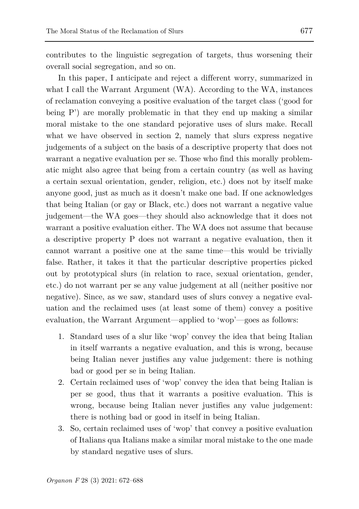contributes to the linguistic segregation of targets, thus worsening their overall social segregation, and so on.

In this paper, I anticipate and reject a different worry, summarized in what I call the Warrant Argument (WA). According to the WA, instances of reclamation conveying a positive evaluation of the target class ('good for being P') are morally problematic in that they end up making a similar moral mistake to the one standard pejorative uses of slurs make. Recall what we have observed in section 2, namely that slurs express negative judgements of a subject on the basis of a descriptive property that does not warrant a negative evaluation per se. Those who find this morally problematic might also agree that being from a certain country (as well as having a certain sexual orientation, gender, religion, etc.) does not by itself make anyone good, just as much as it doesn't make one bad. If one acknowledges that being Italian (or gay or Black, etc.) does not warrant a negative value judgement—the WA goes—they should also acknowledge that it does not warrant a positive evaluation either. The WA does not assume that because a descriptive property P does not warrant a negative evaluation, then it cannot warrant a positive one at the same time—this would be trivially false. Rather, it takes it that the particular descriptive properties picked out by prototypical slurs (in relation to race, sexual orientation, gender, etc.) do not warrant per se any value judgement at all (neither positive nor negative). Since, as we saw, standard uses of slurs convey a negative evaluation and the reclaimed uses (at least some of them) convey a positive evaluation, the Warrant Argument—applied to 'wop'—goes as follows:

- 1. Standard uses of a slur like 'wop' convey the idea that being Italian in itself warrants a negative evaluation, and this is wrong, because being Italian never justifies any value judgement: there is nothing bad or good per se in being Italian.
- 2. Certain reclaimed uses of 'wop' convey the idea that being Italian is per se good, thus that it warrants a positive evaluation. This is wrong, because being Italian never justifies any value judgement: there is nothing bad or good in itself in being Italian.
- 3. So, certain reclaimed uses of 'wop' that convey a positive evaluation of Italians qua Italians make a similar moral mistake to the one made by standard negative uses of slurs.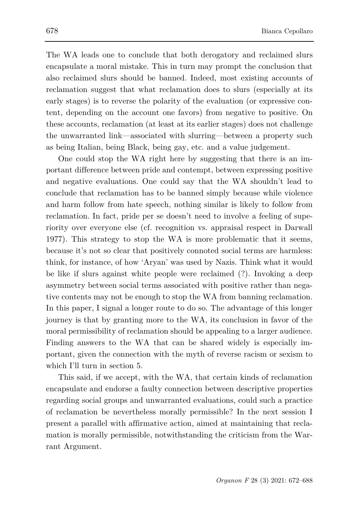The WA leads one to conclude that both derogatory and reclaimed slurs encapsulate a moral mistake. This in turn may prompt the conclusion that also reclaimed slurs should be banned. Indeed, most existing accounts of reclamation suggest that what reclamation does to slurs (especially at its early stages) is to reverse the polarity of the evaluation (or expressive content, depending on the account one favors) from negative to positive. On these accounts, reclamation (at least at its earlier stages) does not challenge the unwarranted link—associated with slurring—between a property such as being Italian, being Black, being gay, etc. and a value judgement.

One could stop the WA right here by suggesting that there is an important difference between pride and contempt, between expressing positive and negative evaluations. One could say that the WA shouldn't lead to conclude that reclamation has to be banned simply because while violence and harm follow from hate speech, nothing similar is likely to follow from reclamation. In fact, pride per se doesn't need to involve a feeling of superiority over everyone else (cf. recognition vs. appraisal respect in Darwall 1977). This strategy to stop the WA is more problematic that it seems, because it's not so clear that positively connoted social terms are harmless: think, for instance, of how 'Aryan' was used by Nazis. Think what it would be like if slurs against white people were reclaimed (?). Invoking a deep asymmetry between social terms associated with positive rather than negative contents may not be enough to stop the WA from banning reclamation. In this paper, I signal a longer route to do so. The advantage of this longer journey is that by granting more to the WA, its conclusion in favor of the moral permissibility of reclamation should be appealing to a larger audience. Finding answers to the WA that can be shared widely is especially important, given the connection with the myth of reverse racism or sexism to which I'll turn in section 5.

This said, if we accept, with the WA, that certain kinds of reclamation encapsulate and endorse a faulty connection between descriptive properties regarding social groups and unwarranted evaluations, could such a practice of reclamation be nevertheless morally permissible? In the next session I present a parallel with affirmative action, aimed at maintaining that reclamation is morally permissible, notwithstanding the criticism from the Warrant Argument.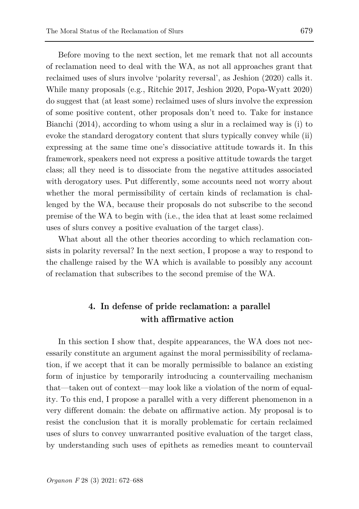Before moving to the next section, let me remark that not all accounts of reclamation need to deal with the WA, as not all approaches grant that reclaimed uses of slurs involve 'polarity reversal', as Jeshion (2020) calls it. While many proposals (e.g., Ritchie 2017, Jeshion 2020, Popa-Wyatt 2020) do suggest that (at least some) reclaimed uses of slurs involve the expression of some positive content, other proposals don't need to. Take for instance Bianchi (2014), according to whom using a slur in a reclaimed way is (i) to evoke the standard derogatory content that slurs typically convey while (ii) expressing at the same time one's dissociative attitude towards it. In this framework, speakers need not express a positive attitude towards the target class; all they need is to dissociate from the negative attitudes associated with derogatory uses. Put differently, some accounts need not worry about whether the moral permissibility of certain kinds of reclamation is challenged by the WA, because their proposals do not subscribe to the second premise of the WA to begin with (i.e., the idea that at least some reclaimed uses of slurs convey a positive evaluation of the target class).

What about all the other theories according to which reclamation consists in polarity reversal? In the next section, I propose a way to respond to the challenge raised by the WA which is available to possibly any account of reclamation that subscribes to the second premise of the WA.

# **4. In defense of pride reclamation: a parallel with affirmative action**

In this section I show that, despite appearances, the WA does not necessarily constitute an argument against the moral permissibility of reclamation, if we accept that it can be morally permissible to balance an existing form of injustice by temporarily introducing a countervailing mechanism that—taken out of context—may look like a violation of the norm of equality. To this end, I propose a parallel with a very different phenomenon in a very different domain: the debate on affirmative action. My proposal is to resist the conclusion that it is morally problematic for certain reclaimed uses of slurs to convey unwarranted positive evaluation of the target class, by understanding such uses of epithets as remedies meant to countervail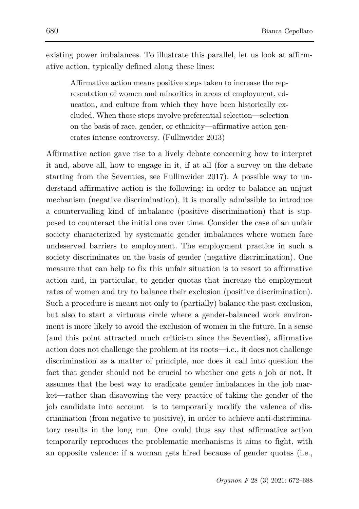existing power imbalances. To illustrate this parallel, let us look at affirmative action, typically defined along these lines:

Affirmative action means positive steps taken to increase the representation of women and minorities in areas of employment, education, and culture from which they have been historically excluded. When those steps involve preferential selection—selection on the basis of race, gender, or ethnicity—affirmative action generates intense controversy. (Fullinwider 2013)

Affirmative action gave rise to a lively debate concerning how to interpret it and, above all, how to engage in it, if at all (for a survey on the debate starting from the Seventies, see Fullinwider 2017). A possible way to understand affirmative action is the following: in order to balance an unjust mechanism (negative discrimination), it is morally admissible to introduce a countervailing kind of imbalance (positive discrimination) that is supposed to counteract the initial one over time. Consider the case of an unfair society characterized by systematic gender imbalances where women face undeserved barriers to employment. The employment practice in such a society discriminates on the basis of gender (negative discrimination). One measure that can help to fix this unfair situation is to resort to affirmative action and, in particular, to gender quotas that increase the employment rates of women and try to balance their exclusion (positive discrimination). Such a procedure is meant not only to (partially) balance the past exclusion, but also to start a virtuous circle where a gender-balanced work environment is more likely to avoid the exclusion of women in the future. In a sense (and this point attracted much criticism since the Seventies), affirmative action does not challenge the problem at its roots—i.e., it does not challenge discrimination as a matter of principle, nor does it call into question the fact that gender should not be crucial to whether one gets a job or not. It assumes that the best way to eradicate gender imbalances in the job market—rather than disavowing the very practice of taking the gender of the job candidate into account—is to temporarily modify the valence of discrimination (from negative to positive), in order to achieve anti-discriminatory results in the long run. One could thus say that affirmative action temporarily reproduces the problematic mechanisms it aims to fight, with an opposite valence: if a woman gets hired because of gender quotas (i.e.,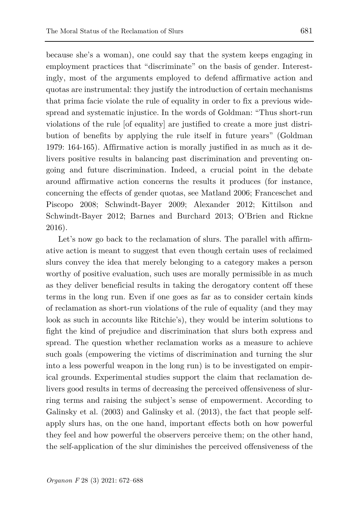because she's a woman), one could say that the system keeps engaging in employment practices that "discriminate" on the basis of gender. Interestingly, most of the arguments employed to defend affirmative action and quotas are instrumental: they justify the introduction of certain mechanisms that prima facie violate the rule of equality in order to fix a previous widespread and systematic injustice. In the words of Goldman: "Thus short-run violations of the rule [of equality] are justified to create a more just distribution of benefits by applying the rule itself in future years" (Goldman 1979: 164-165). Affirmative action is morally justified in as much as it delivers positive results in balancing past discrimination and preventing ongoing and future discrimination. Indeed, a crucial point in the debate around affirmative action concerns the results it produces (for instance, concerning the effects of gender quotas, see Matland 2006; Franceschet and Piscopo 2008; Schwindt-Bayer 2009; Alexander 2012; Kittilson and Schwindt-Bayer 2012; Barnes and Burchard 2013; O'Brien and Rickne 2016).

Let's now go back to the reclamation of slurs. The parallel with affirmative action is meant to suggest that even though certain uses of reclaimed slurs convey the idea that merely belonging to a category makes a person worthy of positive evaluation, such uses are morally permissible in as much as they deliver beneficial results in taking the derogatory content off these terms in the long run. Even if one goes as far as to consider certain kinds of reclamation as short-run violations of the rule of equality (and they may look as such in accounts like Ritchie's), they would be interim solutions to fight the kind of prejudice and discrimination that slurs both express and spread. The question whether reclamation works as a measure to achieve such goals (empowering the victims of discrimination and turning the slur into a less powerful weapon in the long run) is to be investigated on empirical grounds. Experimental studies support the claim that reclamation delivers good results in terms of decreasing the perceived offensiveness of slurring terms and raising the subject's sense of empowerment. According to Galinsky et al. (2003) and Galinsky et al. (2013), the fact that people selfapply slurs has, on the one hand, important effects both on how powerful they feel and how powerful the observers perceive them; on the other hand, the self-application of the slur diminishes the perceived offensiveness of the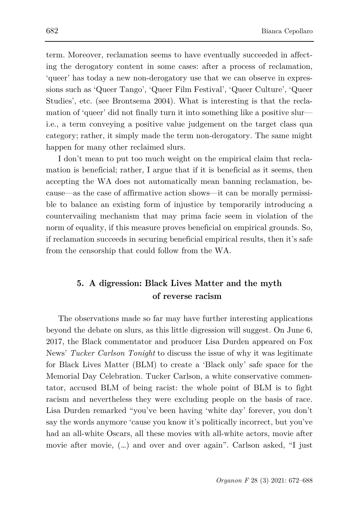term. Moreover, reclamation seems to have eventually succeeded in affecting the derogatory content in some cases: after a process of reclamation, 'queer' has today a new non-derogatory use that we can observe in expressions such as 'Queer Tango', 'Queer Film Festival', 'Queer Culture', 'Queer Studies', etc. (see Brontsema 2004). What is interesting is that the reclamation of 'queer' did not finally turn it into something like a positive slur i.e., a term conveying a positive value judgement on the target class qua category; rather, it simply made the term non-derogatory. The same might happen for many other reclaimed slurs.

I don't mean to put too much weight on the empirical claim that reclamation is beneficial; rather, I argue that if it is beneficial as it seems, then accepting the WA does not automatically mean banning reclamation, because—as the case of affirmative action shows—it can be morally permissible to balance an existing form of injustice by temporarily introducing a countervailing mechanism that may prima facie seem in violation of the norm of equality, if this measure proves beneficial on empirical grounds. So, if reclamation succeeds in securing beneficial empirical results, then it's safe from the censorship that could follow from the WA.

# **5. A digression: Black Lives Matter and the myth of reverse racism**

The observations made so far may have further interesting applications beyond the debate on slurs, as this little digression will suggest. On June 6, 2017, the Black commentator and producer Lisa Durden appeared on Fox News' *Tucker Carlson Tonight* to discuss the issue of why it was legitimate for Black Lives Matter (BLM) to create a 'Black only' safe space for the Memorial Day Celebration. Tucker Carlson, a white conservative commentator, accused BLM of being racist: the whole point of BLM is to fight racism and nevertheless they were excluding people on the basis of race. Lisa Durden remarked "you've been having 'white day' forever, you don't say the words anymore 'cause you know it's politically incorrect, but you've had an all-white Oscars, all these movies with all-white actors, movie after movie after movie, (…) and over and over again". Carlson asked, "I just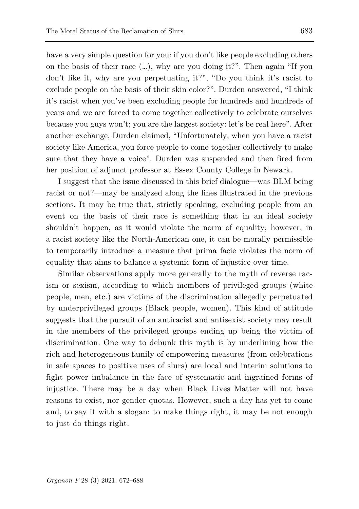have a very simple question for you: if you don't like people excluding others on the basis of their race  $(\ldots)$ , why are you doing it?". Then again "If you don't like it, why are you perpetuating it?", "Do you think it's racist to exclude people on the basis of their skin color?". Durden answered, "I think it's racist when you've been excluding people for hundreds and hundreds of years and we are forced to come together collectively to celebrate ourselves because you guys won't; you are the largest society: let's be real here". After another exchange, Durden claimed, "Unfortunately, when you have a racist society like America, you force people to come together collectively to make sure that they have a voice". Durden was suspended and then fired from her position of adjunct professor at Essex County College in Newark.

I suggest that the issue discussed in this brief dialogue—was BLM being racist or not?—may be analyzed along the lines illustrated in the previous sections. It may be true that, strictly speaking, excluding people from an event on the basis of their race is something that in an ideal society shouldn't happen, as it would violate the norm of equality; however, in a racist society like the North-American one, it can be morally permissible to temporarily introduce a measure that prima facie violates the norm of equality that aims to balance a systemic form of injustice over time.

Similar observations apply more generally to the myth of reverse racism or sexism, according to which members of privileged groups (white people, men, etc.) are victims of the discrimination allegedly perpetuated by underprivileged groups (Black people, women). This kind of attitude suggests that the pursuit of an antiracist and antisexist society may result in the members of the privileged groups ending up being the victim of discrimination. One way to debunk this myth is by underlining how the rich and heterogeneous family of empowering measures (from celebrations in safe spaces to positive uses of slurs) are local and interim solutions to fight power imbalance in the face of systematic and ingrained forms of injustice. There may be a day when Black Lives Matter will not have reasons to exist, nor gender quotas. However, such a day has yet to come and, to say it with a slogan: to make things right, it may be not enough to just do things right.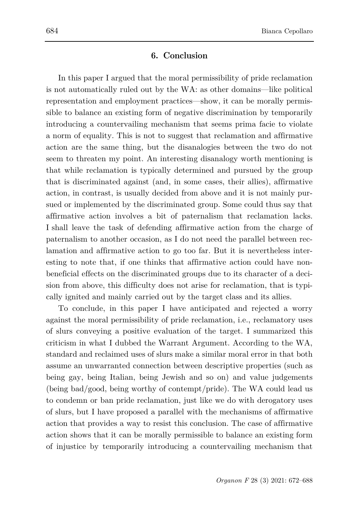## **6. Conclusion**

In this paper I argued that the moral permissibility of pride reclamation is not automatically ruled out by the WA: as other domains—like political representation and employment practices—show, it can be morally permissible to balance an existing form of negative discrimination by temporarily introducing a countervailing mechanism that seems prima facie to violate a norm of equality. This is not to suggest that reclamation and affirmative action are the same thing, but the disanalogies between the two do not seem to threaten my point. An interesting disanalogy worth mentioning is that while reclamation is typically determined and pursued by the group that is discriminated against (and, in some cases, their allies), affirmative action, in contrast, is usually decided from above and it is not mainly pursued or implemented by the discriminated group. Some could thus say that affirmative action involves a bit of paternalism that reclamation lacks. I shall leave the task of defending affirmative action from the charge of paternalism to another occasion, as I do not need the parallel between reclamation and affirmative action to go too far. But it is nevertheless interesting to note that, if one thinks that affirmative action could have nonbeneficial effects on the discriminated groups due to its character of a decision from above, this difficulty does not arise for reclamation, that is typically ignited and mainly carried out by the target class and its allies.

To conclude, in this paper I have anticipated and rejected a worry against the moral permissibility of pride reclamation, i.e., reclamatory uses of slurs conveying a positive evaluation of the target. I summarized this criticism in what I dubbed the Warrant Argument. According to the WA, standard and reclaimed uses of slurs make a similar moral error in that both assume an unwarranted connection between descriptive properties (such as being gay, being Italian, being Jewish and so on) and value judgements (being bad/good, being worthy of contempt/pride). The WA could lead us to condemn or ban pride reclamation, just like we do with derogatory uses of slurs, but I have proposed a parallel with the mechanisms of affirmative action that provides a way to resist this conclusion. The case of affirmative action shows that it can be morally permissible to balance an existing form of injustice by temporarily introducing a countervailing mechanism that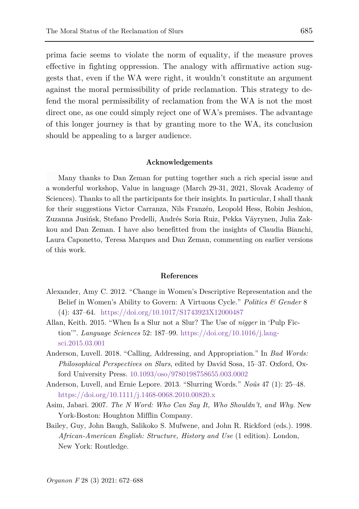prima facie seems to violate the norm of equality, if the measure proves effective in fighting oppression. The analogy with affirmative action suggests that, even if the WA were right, it wouldn't constitute an argument against the moral permissibility of pride reclamation. This strategy to defend the moral permissibility of reclamation from the WA is not the most direct one, as one could simply reject one of WA's premises. The advantage of this longer journey is that by granting more to the WA, its conclusion should be appealing to a larger audience.

#### **Acknowledgements**

Many thanks to Dan Zeman for putting together such a rich special issue and a wonderful workshop, Value in language (March 29-31, 2021, Slovak Academy of Sciences). Thanks to all the participants for their insights. In particular, I shall thank for their suggestions Victor Carranza, Nils Franzén, Leopold Hess, Robin Jeshion, Zuzanna Jusińsk, Stefano Predelli, Andrés Soria Ruiz, Pekka Väyrynen, Julia Zakkou and Dan Zeman. I have also benefitted from the insights of Claudia Bianchi, Laura Caponetto, Teresa Marques and Dan Zeman, commenting on earlier versions of this work.

#### **References**

- Alexander, Amy C. 2012. "Change in Women's Descriptive Representation and the Belief in Women's Ability to Govern: A Virtuous Cycle." *Politics & Gender* 8 (4): 437–64. <https://doi.org/10.1017/S1743923X12000487>
- Allan, Keith. 2015. "When Is a Slur not a Slur? The Use of *nigger* in 'Pulp Fiction'". *Language Sciences* 52: 187–99. [https://doi.org/10.1016/j.lang](https://doi.org/10.1016/j.langsci.2015.03.001)[sci.2015.03.001](https://doi.org/10.1016/j.langsci.2015.03.001)
- Anderson, Luvell. 2018. "Calling, Addressing, and Appropriation." In *Bad Words: Philosophical Perspectives on Slurs*, edited by David Sosa, 15–37. Oxford, Oxford University Press. [10.1093/oso/9780198758655.003.0002](https://doi.org/10.1017/S1743923X12000487)
- Anderson, Luvell, and Ernie Lepore. 2013. "Slurring Words." *Noûs* 47 (1): 25–48. <https://doi.org/10.1111/j.1468-0068.2010.00820.x>
- Asim, Jabari. 2007. *The N Word: Who Can Say It, Who Shouldn't, and Why*. New York-Boston: Houghton Mifflin Company.
- Bailey, Guy, John Baugh, Salikoko S. Mufwene, and John R. Rickford (eds.). 1998. *African-American English: Structure, History and Use* (1 edition). London, New York: Routledge.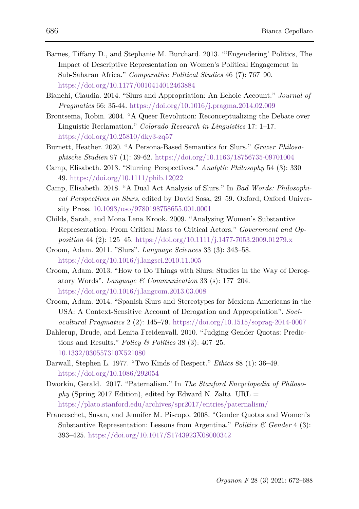- Barnes, Tiffany D., and Stephanie M. Burchard. 2013. "'Engendering' Politics, The Impact of Descriptive Representation on Women's Political Engagement in Sub-Saharan Africa." *Comparative Political Studies* 46 (7): 767–90. <https://doi.org/10.1177/0010414012463884>
- Bianchi, Claudia. 2014. "Slurs and Appropriation: An Echoic Account." *Journal of Pragmatics* 66: 35-44.<https://doi.org/10.1016/j.pragma.2014.02.009>
- Brontsema, Robin. 2004. "A Queer Revolution: Reconceptualizing the Debate over Linguistic Reclamation." *Colorado Research in Linguistics* 17: 1–17. <https://doi.org/10.25810/dky3-zq57>
- Burnett, Heather. 2020. "A Persona-Based Semantics for Slurs." *Grazer Philosophische Studien* 97 (1): 39-62.<https://doi.org/10.1163/18756735-09701004>
- Camp, Elisabeth. 2013. "Slurring Perspectives." *Analytic Philosophy* 54 (3): 330– 49[. https://doi.org/10.1111/phib.12022](https://doi.org/10.1111/phib.12022)
- Camp, Elisabeth. 2018. "A Dual Act Analysis of Slurs." In *Bad Words: Philosophical Perspectives on Slurs*, edited by David Sosa, 29–59. Oxford, Oxford University Press. 10.1093/oso/9780198758655.001.0001
- Childs, Sarah, and Mona Lena Krook. 2009. "Analysing Women's Substantive Representation: From Critical Mass to Critical Actors." *Government and Opposition* 44 (2): 125–45.<https://doi.org/10.1111/j.1477-7053.2009.01279.x>
- Croom, Adam. 2011. "Slurs". *Language Sciences* 33 (3): 343–58. <https://doi.org/10.1016/j.langsci.2010.11.005>
- Croom, Adam. 2013. "How to Do Things with Slurs: Studies in the Way of Derogatory Words". *Language & Communication* 33 (s): 177–204. <https://doi.org/10.1016/j.langcom.2013.03.008>
- Croom, Adam. 2014. "Spanish Slurs and Stereotypes for Mexican-Americans in the USA: A Context-Sensitive Account of Derogation and Appropriation". *Sociocultural Pragmatics* 2 (2): 145–79.<https://doi.org/10.1515/soprag-2014-0007>
- Dahlerup, Drude, and Lenita Freidenvall. 2010. "Judging Gender Quotas: Predictions and Results." *Policy & Politics* 38 (3): 407–25. 10.1332/030557310X521080
- Darwall, Stephen L. 1977. "Two Kinds of Respect." *Ethics* 88 (1): 36–49. <https://doi.org/10.1086/292054>
- Dworkin, Gerald. 2017. "Paternalism." In *The Stanford Encyclopedia of Philosophy* (Spring 2017 Edition), edited by Edward N. Zalta. URL = <https://plato.stanford.edu/archives/spr2017/entries/paternalism/>
- Franceschet, Susan, and Jennifer M. Piscopo. 2008. "Gender Quotas and Women's Substantive Representation: Lessons from Argentina." *Politics & Gender* 4 (3): 393–425.<https://doi.org/10.1017/S1743923X08000342>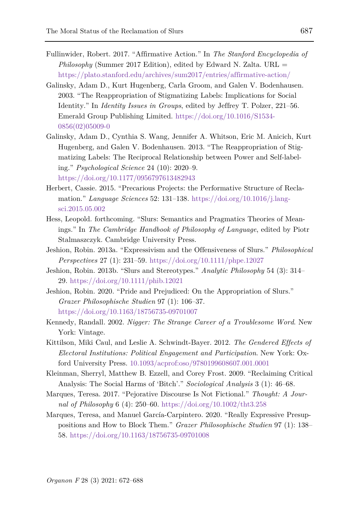- Fullinwider, Robert. 2017. "Affirmative Action." In *The Stanford Encyclopedia of Philosophy* (Summer 2017 Edition), edited by Edward N. Zalta. URL = <https://plato.stanford.edu/archives/sum2017/entries/affirmative-action/>
- Galinsky, Adam D., Kurt Hugenberg, Carla Groom, and Galen V. Bodenhausen. 2003. "The Reappropriation of Stigmatizing Labels: Implications for Social Identity." In *Identity Issues in Groups*, edited by Jeffrey T. Polzer, 221–56. Emerald Group Publishing Limited. [https://doi.org/10.1016/S1534-](https://doi.org/10.1016/S1534-0856(02)05009-0) [0856\(02\)05009-0](https://doi.org/10.1016/S1534-0856(02)05009-0)
- Galinsky, Adam D., Cynthia S. Wang, Jennifer A. Whitson, Eric M. Anicich, Kurt Hugenberg, and Galen V. Bodenhausen. 2013. "The Reappropriation of Stigmatizing Labels: The Reciprocal Relationship between Power and Self-labeling." *Psychological Science* 24 (10): 2020–9. <https://doi.org/10.1177/0956797613482943>
- Herbert, Cassie. 2015. "Precarious Projects: the Performative Structure of Reclamation." *Language Sciences* 52: 131–138. [https://doi.org/10.1016/j.lang](https://doi.org/10.1016/j.langsci.2015.05.002)[sci.2015.05.002](https://doi.org/10.1016/j.langsci.2015.05.002)
- Hess, Leopold. forthcoming. "Slurs: Semantics and Pragmatics Theories of Meanings." In *The Cambridge Handbook of Philosophy of Language*, edited by Piotr Stalmaszczyk. Cambridge University Press.
- Jeshion, Robin. 2013a. "Expressivism and the Offensiveness of Slurs." *Philosophical Perspectives* 27 (1): 231–59.<https://doi.org/10.1111/phpe.12027>
- Jeshion, Robin. 2013b. "Slurs and Stereotypes." *Analytic Philosophy* 54 (3): 314– 29. <https://doi.org/10.1111/phib.12021>
- Jeshion, Robin. 2020. "Pride and Prejudiced: On the Appropriation of Slurs." *Grazer Philosophische Studien* 97 (1): 106–37. <https://doi.org/10.1163/18756735-09701007>
- Kennedy, Randall. 2002. *Nigger: The Strange Career of a Troublesome Word*. New York: Vintage.
- Kittilson, Miki Caul, and Leslie A. Schwindt-Bayer. 2012. *The Gendered Effects of Electoral Institutions: Political Engagement and Participation*. New York: Oxford University Press. 10.1093/acprof:oso/9780199608607.001.0001
- Kleinman, Sherryl, Matthew B. Ezzell, and Corey Frost. 2009. "Reclaiming Critical Analysis: The Social Harms of 'Bitch'." *Sociological Analysis* 3 (1): 46–68.
- Marques, Teresa. 2017. "Pejorative Discourse Is Not Fictional." *Thought: A Journal of Philosophy* 6 (4): 250–60.<https://doi.org/10.1002/tht3.258>
- Marques, Teresa, and Manuel García-Carpintero. 2020. "Really Expressive Presuppositions and How to Block Them." *Grazer Philosophische Studien* 97 (1): 138– 58[. https://doi.org/10.1163/18756735-09701008](https://doi.org/10.1163/18756735-09701008)